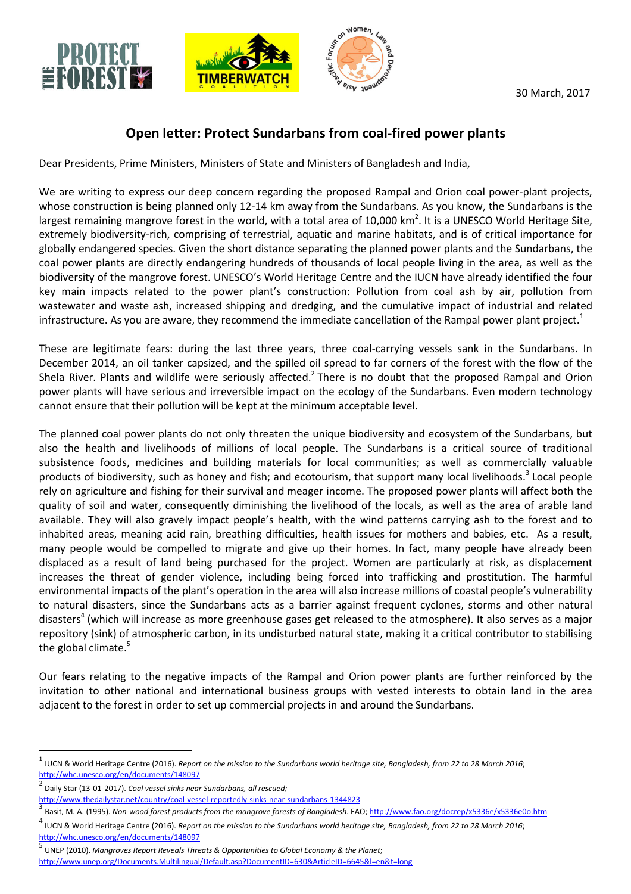

## **Open letter: Protect Sundarbans from coal-fired power plants**

Dear Presidents, Prime Ministers, Ministers of State and Ministers of Bangladesh and India,

We are writing to express our deep concern regarding the proposed Rampal and Orion coal power-plant projects, whose construction is being planned only 12-14 km away from the Sundarbans. As you know, the Sundarbans is the largest remaining mangrove forest in the world, with a total area of 10,000 km<sup>2</sup>. It is a UNESCO World Heritage Site, extremely biodiversity-rich, comprising of terrestrial, aquatic and marine habitats, and is of critical importance for globally endangered species. Given the short distance separating the planned power plants and the Sundarbans, the coal power plants are directly endangering hundreds of thousands of local people living in the area, as well as the biodiversity of the mangrove forest. UNESCO's World Heritage Centre and the IUCN have already identified the four key main impacts related to the power plant's construction: Pollution from coal ash by air, pollution from wastewater and waste ash, increased shipping and dredging, and the cumulative impact of industrial and related infrastructure. As you are aware, they recommend the immediate cancellation of the Rampal power plant project. $1$ 

These are legitimate fears: during the last three years, three coal-carrying vessels sank in the Sundarbans. In December 2014, an oil tanker capsized, and the spilled oil spread to far corners of the forest with the flow of the Shela River. Plants and wildlife were seriously affected.<sup>2</sup> There is no doubt that the proposed Rampal and Orion power plants will have serious and irreversible impact on the ecology of the Sundarbans. Even modern technology cannot ensure that their pollution will be kept at the minimum acceptable level.

The planned coal power plants do not only threaten the unique biodiversity and ecosystem of the Sundarbans, but also the health and livelihoods of millions of local people. The Sundarbans is a critical source of traditional subsistence foods, medicines and building materials for local communities; as well as commercially valuable products of biodiversity, such as honey and fish; and ecotourism, that support many local livelihoods.<sup>3</sup> Local people rely on agriculture and fishing for their survival and meager income. The proposed power plants will affect both the quality of soil and water, consequently diminishing the livelihood of the locals, as well as the area of arable land available. They will also gravely impact people's health, with the wind patterns carrying ash to the forest and to inhabited areas, meaning acid rain, breathing difficulties, health issues for mothers and babies, etc. As a result, many people would be compelled to migrate and give up their homes. In fact, many people have already been displaced as a result of land being purchased for the project. Women are particularly at risk, as displacement increases the threat of gender violence, including being forced into trafficking and prostitution. The harmful environmental impacts of the plant's operation in the area will also increase millions of coastal people's vulnerability to natural disasters, since the Sundarbans acts as a barrier against frequent cyclones, storms and other natural disasters<sup>4</sup> (which will increase as more greenhouse gases get released to the atmosphere). It also serves as a major repository (sink) of atmospheric carbon, in its undisturbed natural state, making it a critical contributor to stabilising the global climate. $5$ 

Our fears relating to the negative impacts of the Rampal and Orion power plants are further reinforced by the invitation to other national and international business groups with vested interests to obtain land in the area adjacent to the forest in order to set up commercial projects in and around the Sundarbans.

 $\overline{a}$ 

<sup>1</sup> IUCN & World Heritage Centre (2016). *Report on the mission to the Sundarbans world heritage site, Bangladesh, from 22 to 28 March 2016*; http://whc.unesco.org/en/documents/148097

<sup>2</sup> Daily Star (13-01-2017). *Coal vessel sinks near Sundarbans, all rescued;* 

http://www.thedailystar.net/country/coal-vessel-reportedly-sinks-near-sundarbans-1344823

<sup>3</sup> Basit, M. A. (1995). *Non-wood forest products from the mangrove forests of Bangladesh*. FAO; http://www.fao.org/docrep/x5336e/x5336e0o.htm

<sup>4</sup> IUCN & World Heritage Centre (2016). *Report on the mission to the Sundarbans world heritage site, Bangladesh, from 22 to 28 March 2016*; http://whc.unesco.org/en/documents/148097 5

UNEP (2010). *Mangroves Report Reveals Threats & Opportunities to Global Economy & the Planet*; http://www.unep.org/Documents.Multilingual/Default.asp?DocumentID=630&ArticleID=6645&l=en&t=long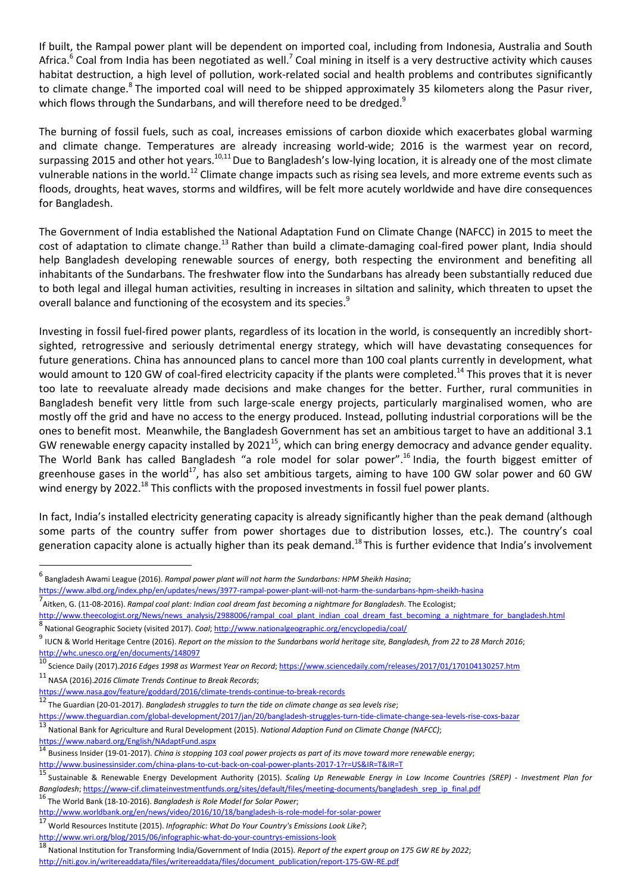If built, the Rampal power plant will be dependent on imported coal, including from Indonesia, Australia and South Africa.<sup>6</sup> Coal from India has been negotiated as well.<sup>7</sup> Coal mining in itself is a very destructive activity which causes habitat destruction, a high level of pollution, work-related social and health problems and contributes significantly to climate change.<sup>8</sup> The imported coal will need to be shipped approximately 35 kilometers along the Pasur river, which flows through the Sundarbans, and will therefore need to be dredged.<sup>9</sup>

The burning of fossil fuels, such as coal, increases emissions of carbon dioxide which exacerbates global warming and climate change. Temperatures are already increasing world-wide; 2016 is the warmest year on record, surpassing 2015 and other hot years.<sup>10,11</sup> Due to Bangladesh's low-lying location, it is already one of the most climate vulnerable nations in the world.<sup>12</sup> Climate change impacts such as rising sea levels, and more extreme events such as floods, droughts, heat waves, storms and wildfires, will be felt more acutely worldwide and have dire consequences for Bangladesh.

The Government of India established the National Adaptation Fund on Climate Change (NAFCC) in 2015 to meet the cost of adaptation to climate change.<sup>13</sup> Rather than build a climate-damaging coal-fired power plant, India should help Bangladesh developing renewable sources of energy, both respecting the environment and benefiting all inhabitants of the Sundarbans. The freshwater flow into the Sundarbans has already been substantially reduced due to both legal and illegal human activities, resulting in increases in siltation and salinity, which threaten to upset the overall balance and functioning of the ecosystem and its species.<sup>9</sup>

Investing in fossil fuel-fired power plants, regardless of its location in the world, is consequently an incredibly shortsighted, retrogressive and seriously detrimental energy strategy, which will have devastating consequences for future generations. China has announced plans to cancel more than 100 coal plants currently in development, what would amount to 120 GW of coal-fired electricity capacity if the plants were completed.<sup>14</sup> This proves that it is never too late to reevaluate already made decisions and make changes for the better. Further, rural communities in Bangladesh benefit very little from such large-scale energy projects, particularly marginalised women, who are mostly off the grid and have no access to the energy produced. Instead, polluting industrial corporations will be the ones to benefit most. Meanwhile, the Bangladesh Government has set an ambitious target to have an additional 3.1 GW renewable energy capacity installed by 2021<sup>15</sup>, which can bring energy democracy and advance gender equality. The World Bank has called Bangladesh "a role model for solar power".<sup>16</sup> India, the fourth biggest emitter of greenhouse gases in the world<sup>17</sup>, has also set ambitious targets, aiming to have 100 GW solar power and 60 GW wind energy by 2022.<sup>18</sup> This conflicts with the proposed investments in fossil fuel power plants.

In fact, India's installed electricity generating capacity is already significantly higher than the peak demand (although some parts of the country suffer from power shortages due to distribution losses, etc.). The country's coal generation capacity alone is actually higher than its peak demand.<sup>18</sup> This is further evidence that India's involvement

<sup>11</sup> NASA (2016).*2016 Climate Trends Continue to Break Records*;

https://www.nabard.org/English/NAdaptFund.aspx

 $\overline{\phantom{0}}$ 

<sup>16</sup> The World Bank (18-10-2016). *Bangladesh is Role Model for Solar Power*;

<sup>6</sup> Bangladesh Awami League (2016). *Rampal power plant will not harm the Sundarbans: HPM Sheikh Hasina*;

<sup>&</sup>lt;u>https://www.albd.org/index.php/en/updates/news/3977-rampal-power-plant-will-not-harm-the-sundarbans-hpm-sheikh-hasina<br>7<br>Aitken, G. (11-08-2016). *Rampal coal plant: Indian coal dream fast becoming a nightmare for Banglade</u>* 

http://www.theecologist.org/News/news\_analysis/2988006/rampal\_coal\_plant\_indian\_coal\_dream\_fast\_becoming\_a\_nightmare\_for\_bangladesh.html 8 National Geographic Society (visited 2017). *Coal*; http://www.nationalgeographic.org/encyclopedia/coal/

<sup>9</sup> IUCN & World Heritage Centre (2016). *Report on the mission to the Sundarbans world heritage site, Bangladesh, from 22 to 28 March 2016*; http://whc.unesco.org/en/documents/148097

<sup>10</sup> Science Daily (2017).*2016 Edges 1998 as Warmest Year on Record*; https://www.sciencedaily.com/releases/2017/01/170104130257.htm

https://www.nasa.gov/feature/goddard/2016/climate-trends-continue-to-break-records

<sup>12</sup> The Guardian (20-01-2017). *Bangladesh struggles to turn the tide on climate change as sea levels rise*;

https://www.theguardian.com/global-development/2017/jan/20/bangladesh-struggles-turn-tide-climate-change-sea-levels-rise-coxs-bazar

<sup>13</sup> National Bank for Agriculture and Rural Development (2015). *National Adaption Fund on Climate Change (NAFCC)*;

<sup>14</sup> Business Insider (19-01-2017). *China is stopping 103 coal power projects as part of its move toward more renewable energy*; http://www.businessinsider.com/china-plans-to-cut-back-on-coal-power-plants-2017-1?r=US&IR=T&IR=T

<sup>15</sup> Sustainable & Renewable Energy Development Authority (2015). *Scaling Up Renewable Energy in Low Income Countries (SREP) - Investment Plan for Bangladesh*; https://www-cif.climateinvestmentfunds.org/sites/default/files/meeting-documents/bangladesh\_srep\_ip\_final.pdf

http://www.worldbank.org/en/news/video/2016/10/18/bangladesh-is-role-model-for-solar-power

<sup>17</sup> World Resources Institute (2015). *Infographic: What Do Your Country's Emissions Look Like?*;

http://www.wri.org/blog/2015/06/infographic-what-do-your-countrys-emissions-look

<sup>18</sup> National Institution for Transforming India/Government of India (2015). *Report of the expert group on 175 GW RE by 2022*; http://niti.gov.in/writereaddata/files/writereaddata/files/document\_publication/report-175-GW-RE.pdf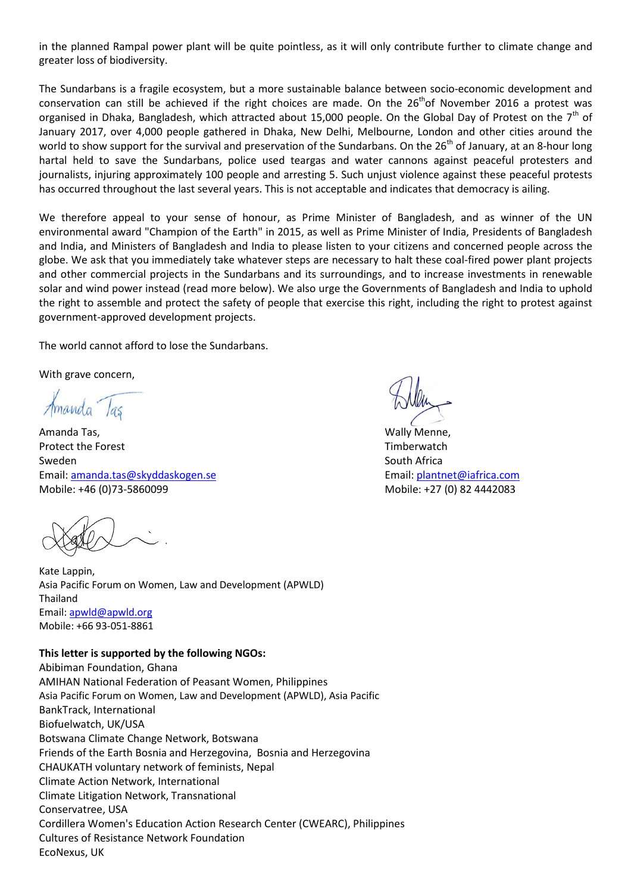in the planned Rampal power plant will be quite pointless, as it will only contribute further to climate change and greater loss of biodiversity.

The Sundarbans is a fragile ecosystem, but a more sustainable balance between socio-economic development and conservation can still be achieved if the right choices are made. On the 26<sup>th</sup>of November 2016 a protest was organised in Dhaka, Bangladesh, which attracted about 15,000 people. On the Global Day of Protest on the  $7<sup>th</sup>$  of January 2017, over 4,000 people gathered in Dhaka, New Delhi, Melbourne, London and other cities around the world to show support for the survival and preservation of the Sundarbans. On the  $26^{th}$  of January, at an 8-hour long hartal held to save the Sundarbans, police used teargas and water cannons against peaceful protesters and journalists, injuring approximately 100 people and arresting 5. Such unjust violence against these peaceful protests has occurred throughout the last several years. This is not acceptable and indicates that democracy is ailing.

We therefore appeal to your sense of honour, as Prime Minister of Bangladesh, and as winner of the UN environmental award "Champion of the Earth" in 2015, as well as Prime Minister of India, Presidents of Bangladesh and India, and Ministers of Bangladesh and India to please listen to your citizens and concerned people across the globe. We ask that you immediately take whatever steps are necessary to halt these coal-fired power plant projects and other commercial projects in the Sundarbans and its surroundings, and to increase investments in renewable solar and wind power instead (read more below). We also urge the Governments of Bangladesh and India to uphold the right to assemble and protect the safety of people that exercise this right, including the right to protest against government-approved development projects.

The world cannot afford to lose the Sundarbans.

With grave concern,

Amanda Tas

Amanda Tas, National Menne, National Menne, National Menne, National Menne, National Menne, National Menne, Na Protect the Forest Timberwatch Contract Timberwatch Contract Timberwatch Contract Timberwatch Sweden Sweden South Africa Email: **amanda.tas@skyddaskogen.se** email: plantnet@iafrica.com Mobile: +46 (0)73-5860099 Mobile: +27 (0) 82 4442083

Kate Lappin, Asia Pacific Forum on Women, Law and Development (APWLD) Thailand Email: apwld@apwld.org Mobile: +66 93-051-8861

## **This letter is supported by the following NGOs:**

Abibiman Foundation, Ghana AMIHAN National Federation of Peasant Women, Philippines Asia Pacific Forum on Women, Law and Development (APWLD), Asia Pacific BankTrack, International Biofuelwatch, UK/USA Botswana Climate Change Network, Botswana Friends of the Earth Bosnia and Herzegovina, Bosnia and Herzegovina CHAUKATH voluntary network of feminists, Nepal Climate Action Network, International Climate Litigation Network, Transnational Conservatree, USA Cordillera Women's Education Action Research Center (CWEARC), Philippines Cultures of Resistance Network Foundation EcoNexus, UK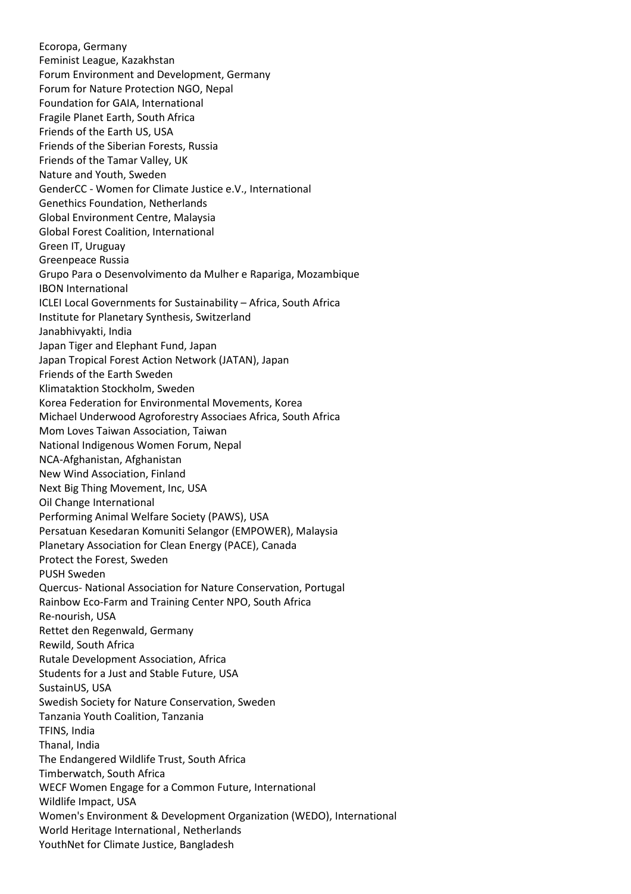Ecoropa, Germany Feminist League, Kazakhstan Forum Environment and Development, Germany Forum for Nature Protection NGO, Nepal Foundation for GAIA, International Fragile Planet Earth, South Africa Friends of the Earth US, USA Friends of the Siberian Forests, Russia Friends of the Tamar Valley, UK Nature and Youth, Sweden GenderCC - Women for Climate Justice e.V., International Genethics Foundation, Netherlands Global Environment Centre, Malaysia Global Forest Coalition, International Green IT, Uruguay Greenpeace Russia Grupo Para o Desenvolvimento da Mulher e Rapariga, Mozambique IBON International ICLEI Local Governments for Sustainability – Africa, South Africa Institute for Planetary Synthesis, Switzerland Janabhivyakti, India Japan Tiger and Elephant Fund, Japan Japan Tropical Forest Action Network (JATAN), Japan Friends of the Earth Sweden Klimataktion Stockholm, Sweden Korea Federation for Environmental Movements, Korea Michael Underwood Agroforestry Associaes Africa, South Africa Mom Loves Taiwan Association, Taiwan National Indigenous Women Forum, Nepal NCA-Afghanistan, Afghanistan New Wind Association, Finland Next Big Thing Movement, Inc, USA Oil Change International Performing Animal Welfare Society (PAWS), USA Persatuan Kesedaran Komuniti Selangor (EMPOWER), Malaysia Planetary Association for Clean Energy (PACE), Canada Protect the Forest, Sweden PUSH Sweden Quercus- National Association for Nature Conservation, Portugal Rainbow Eco-Farm and Training Center NPO, South Africa Re-nourish, USA Rettet den Regenwald, Germany Rewild, South Africa Rutale Development Association, Africa Students for a Just and Stable Future, USA SustainUS, USA Swedish Society for Nature Conservation, Sweden Tanzania Youth Coalition, Tanzania TFINS, India Thanal, India The Endangered Wildlife Trust, South Africa Timberwatch, South Africa WECF Women Engage for a Common Future, International Wildlife Impact, USA Women's Environment & Development Organization (WEDO), International World Heritage International , Netherlands YouthNet for Climate Justice, Bangladesh